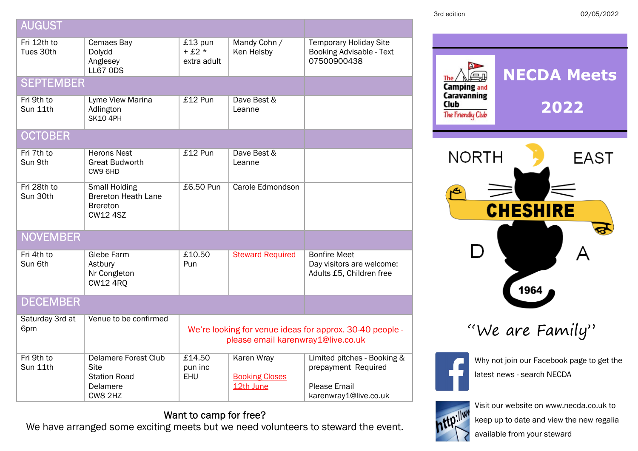| 3rd edition |  |  |
|-------------|--|--|
|             |  |  |

3rd edition 02/05/2022

| <b>AUGUST</b>            |                                                                                          |                                                                                                |                                                         |                                                                                                    |
|--------------------------|------------------------------------------------------------------------------------------|------------------------------------------------------------------------------------------------|---------------------------------------------------------|----------------------------------------------------------------------------------------------------|
| Fri 12th to<br>Tues 30th | Cemaes Bay<br>Dolydd<br>Anglesey<br><b>LL67 ODS</b>                                      | £13 pun<br>$+£2*$<br>extra adult                                                               | Mandy Cohn /<br>Ken Helsby                              | <b>Temporary Holiday Site</b><br><b>Booking Advisable - Text</b><br>07500900438                    |
| <b>SEPTEMBER</b>         |                                                                                          |                                                                                                |                                                         |                                                                                                    |
| Fri 9th to<br>Sun 11th   | Lyme View Marina<br>Adlington<br><b>SK10 4PH</b>                                         | £12 Pun                                                                                        | Dave Best &<br>Leanne                                   |                                                                                                    |
| <b>OCTOBER</b>           |                                                                                          |                                                                                                |                                                         |                                                                                                    |
| Fri 7th to<br>Sun 9th    | <b>Herons Nest</b><br><b>Great Budworth</b><br>CW9 6HD                                   | $£12$ Pun                                                                                      | Dave Best &<br>Leanne                                   |                                                                                                    |
| Fri 28th to<br>Sun 30th  | <b>Small Holding</b><br><b>Brereton Heath Lane</b><br><b>Brereton</b><br><b>CW12 4SZ</b> | £6.50 Pun                                                                                      | Carole Edmondson                                        |                                                                                                    |
| <b>NOVEMBER</b>          |                                                                                          |                                                                                                |                                                         |                                                                                                    |
| Fri 4th to<br>Sun 6th    | Glebe Farm<br>Astbury<br>Nr Congleton<br><b>CW12 4RQ</b>                                 | £10.50<br>Pun                                                                                  | <b>Steward Required</b>                                 | <b>Bonfire Meet</b><br>Day visitors are welcome:<br>Adults £5, Children free                       |
| <b>DECEMBER</b>          |                                                                                          |                                                                                                |                                                         |                                                                                                    |
| Saturday 3rd at<br>6pm   | Venue to be confirmed                                                                    | We're looking for venue ideas for approx. 30-40 people -<br>please email karenwray1@live.co.uk |                                                         |                                                                                                    |
| Fri 9th to<br>Sun 11th   | <b>Delamere Forest Club</b><br><b>Site</b><br><b>Station Road</b><br>Delamere<br>CW8 2HZ | £14.50<br>pun inc<br>EHU                                                                       | <b>Karen Wray</b><br><b>Booking Closes</b><br>12th June | Limited pitches - Booking &<br>prepayment Required<br><b>Please Email</b><br>karenwray1@live.co.uk |

## Want to camp for free?

We have arranged some exciting meets but we need volunteers to steward the event.



"We are Family"



Why not join our Facebook page to get the latest news - search NECDA



Visit our website on www.necda.co.uk to keep up to date and view the new regalia

available from your steward